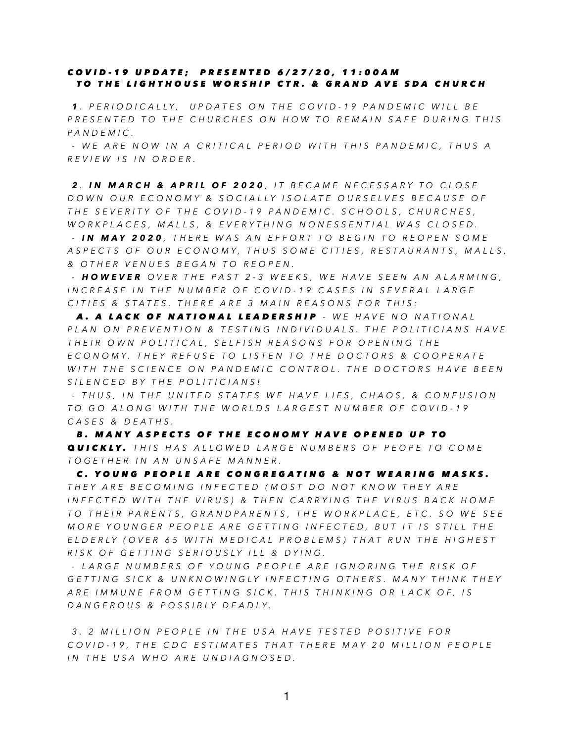## *COVID-19 UPDATE; PRESENTED 6/27/20, 11:00AM TO THE LIGHTHOUSE WORSHIP CTR. & GRAND AVE SDA CHURCH*

*1 . PERIODICALLY, UPDATES ON THE COVID-19 PANDEMIC WILL BE PRESENTED TO THE CHURCHES ON HOW TO REMAIN SAFE DURING THIS PANDEMIC.* 

 *- WE ARE NOW IN A CRITICAL PERIOD WITH THIS PANDEMIC, THUS A REVIEW IS IN ORDER.* 

*2 . IN MARCH & APRIL OF 2020 , IT BECAME NECESSARY TO CLOSE DOWN OUR ECONOMY & SOCIALLY ISOLATE OURSELVES BECAUSE OF THE SEVERITY OF THE COVID-19 PANDEMIC. SCHOOLS, CHURCHES, WORKPLACES, MALLS, & EVERYTHING NONESSENTIAL WAS CLOSED.* 

 *- IN MAY 2020 , THERE WAS AN EFFORT TO BEGIN TO REOPEN SOME ASPECTS OF OUR ECONOMY, THUS SOME CITIES, RESTAURANTS, MALLS, & OTHER VENUES BEGAN TO REOPEN.* 

 *- HOWEVER OVER THE PAST 2-3 WEEKS, WE HAVE SEEN AN ALARMING, INCREASE IN THE NUMBER OF COVID-19 CASES IN SEVERAL LARGE CITIES & STATES. THERE ARE 3 MAIN REASONS FOR THIS:* 

 *A. A LACK OF NATIONAL LEADERSHIP - WE HAVE NO NATIONAL PLAN ON PREVENTION & TESTING INDIVIDUALS. THE POLITICIANS HAVE THEIR OWN POLITICAL, SELFISH REASONS FOR OPENING THE ECONOMY. THEY REFUSE TO LISTEN TO THE DOCTORS & COOPERATE WITH THE SCIENCE ON PANDEMIC CONTROL. THE DOCTORS HAVE BEEN SILENCED BY THE POLITICIANS!* 

 *- THUS, IN THE UNITED STATES WE HAVE LIES, CHAOS, & CONFUSION TO GO ALONG WITH THE WORLDS LARGEST NUMBER OF COVID-19 CASES & DEATHS.* 

 *B. MANY ASPECTS OF THE ECONOMY HAVE OPENED UP TO QUICKLY. THIS HAS ALLOWED LARGE NUMBERS OF PEOPE TO COME TOGETHER IN AN UNSAFE MANNER.* 

 *C. YOUNG PEOPLE ARE CONGREGATING & NOT WEARING MASKS. THEY ARE BECOMING INFECTED (MOST DO NOT KNOW THEY ARE INFECTED WITH THE VIRUS) & THEN CARRYING THE VIRUS BACK HOME TO THEIR PARENTS, GRANDPARENTS, THE WORKPLACE, ETC. SO WE SEE MORE YOUNGER PEOPLE ARE GETTING INFECTED, BUT IT IS STILL THE ELDERLY (OVER 65 WITH MEDICAL PROBLEMS) THAT RUN THE HIGHEST RISK OF GETTING SERIOUSLY ILL & DYING.* 

 *- LARGE NUMBERS OF YOUNG PEOPLE ARE IGNORING THE RISK OF GETTING SICK & UNKNOWINGLY INFECTING OTHERS. MANY THINK THEY ARE IMMUNE FROM GETTING SICK. THIS THINKING OR LACK OF, IS DANGEROUS & POSSIBLY DEADLY.* 

 *3. 2 MILLION PEOPLE IN THE USA HAVE TESTED POSITIVE FOR COVID-19, THE CDC ESTIMATES THAT THERE MAY 20 MILLION PEOPLE IN THE USA WHO ARE UNDIAGNOSED.*